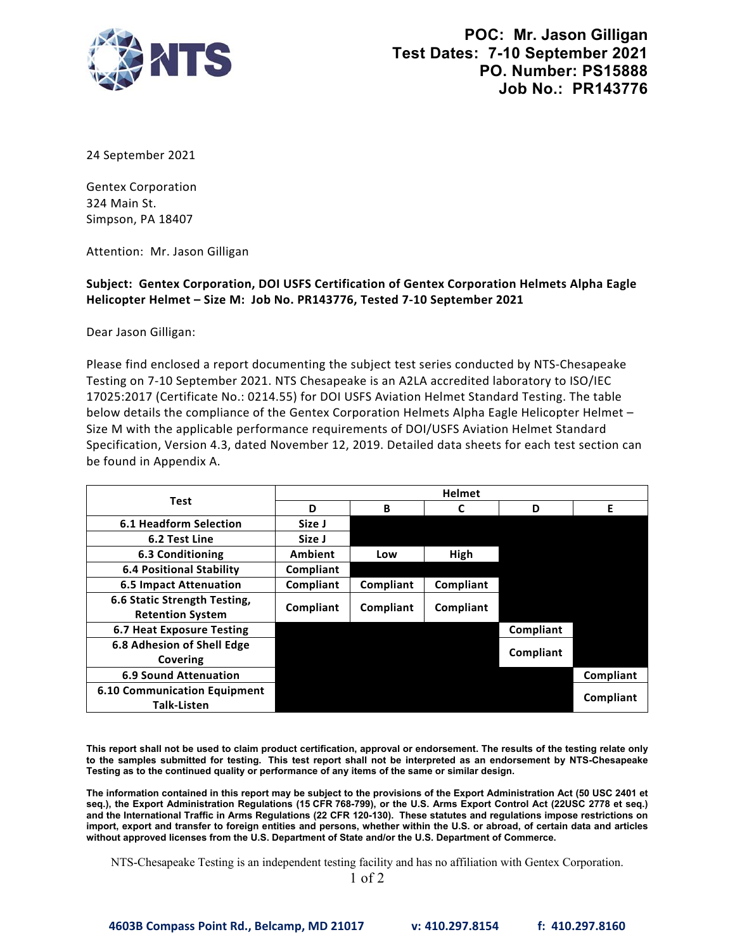

24 September 2021

Gentex Corporation 324 Main St. Simpson, PA 18407

Attention: Mr. Jason Gilligan

## **Subject: Gentex Corporation, DOI USFS Certification of Gentex Corporation Helmets Alpha Eagle Helicopter Helmet – Size M: Job No. PR143776, Tested 7‐10 September 2021**

Dear Jason Gilligan:

 Please find enclosed a report documenting the subject test series conducted by NTS‐Chesapeake Testing on 7‐10 September 2021. NTS Chesapeake is an A2LA accredited laboratory to ISO/IEC Specification, Version 4.3, dated November 12, 2019. Detailed data sheets for each test section can 17025:2017 (Certificate No.: 0214.55) for DOI USFS Aviation Helmet Standard Testing. The table below details the compliance of the Gentex Corporation Helmets Alpha Eagle Helicopter Helmet -Size M with the applicable performance requirements of DOI/USFS Aviation Helmet Standard be found in Appendix A.

| Test                                | <b>Helmet</b>  |           |             |           |           |
|-------------------------------------|----------------|-----------|-------------|-----------|-----------|
|                                     | D              | B         |             | D         | Е         |
| <b>6.1 Headform Selection</b>       | Size J         |           |             |           |           |
| 6.2 Test Line                       | Size J         |           |             |           |           |
| 6.3 Conditioning                    | <b>Ambient</b> | Low       | <b>High</b> |           |           |
| <b>6.4 Positional Stability</b>     | Compliant      |           |             |           |           |
| <b>6.5 Impact Attenuation</b>       | Compliant      | Compliant | Compliant   |           |           |
| 6.6 Static Strength Testing,        | Compliant      | Compliant | Compliant   |           |           |
| <b>Retention System</b>             |                |           |             |           |           |
| 6.7 Heat Exposure Testing           |                |           |             | Compliant |           |
| 6.8 Adhesion of Shell Edge          |                |           |             |           |           |
| Covering                            |                |           |             | Compliant |           |
| <b>6.9 Sound Attenuation</b>        |                |           |             |           | Compliant |
| <b>6.10 Communication Equipment</b> |                |           |             |           | Compliant |
| <b>Talk-Listen</b>                  |                |           |             |           |           |

 **This report shall not be used to claim product certification, approval or endorsement. The results of the testing relate only to the samples submitted for testing. This test report shall not be interpreted as an endorsement by NTS-Chesapeake Testing as to the continued quality or performance of any items of the same or similar design.**

 **The information contained in this report may be subject to the provisions of the Export Administration Act (50 USC 2401 et import, export and transfer to foreign entities and persons, whether within the U.S. or abroad, of certain data and articles seq.), the Export Administration Regulations (15 CFR 768-799), or the U.S. Arms Export Control Act (22USC 2778 et seq.) and the International Traffic in Arms Regulations (22 CFR 120-130). These statutes and regulations impose restrictions on without approved licenses from the U.S. Department of State and/or the U.S. Department of Commerce.**

NTS-Chesapeake Testing is an independent testing facility and has no affiliation with Gentex Corporation.

1 of 2